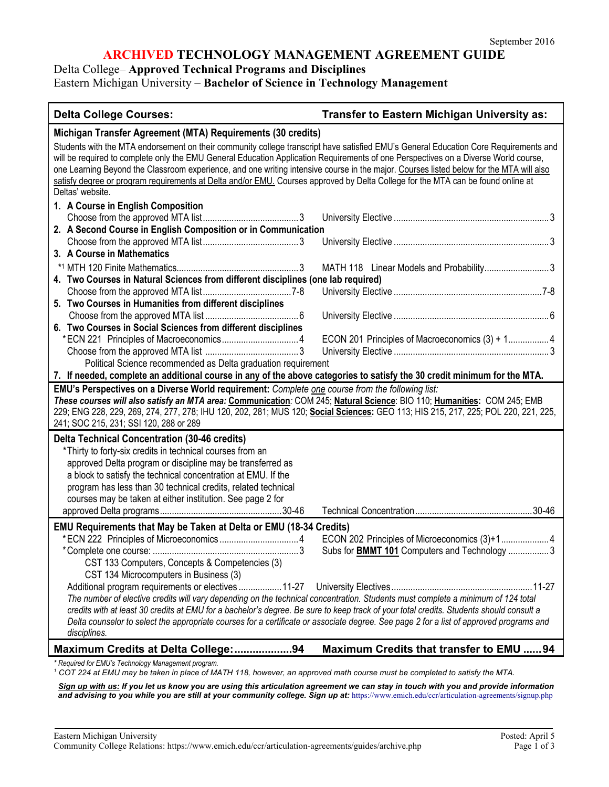## **ARCHIVED TECHNOLOGY MANAGEMENT AGREEMENT GUIDE**

Delta College– **Approved Technical Programs and Disciplines**

Eastern Michigan University – **Bachelor of Science in Technology Management**

| <b>Delta College Courses:</b>                                                                                                                                                                                                                                                                                                                                                                                                                                                                                                                                                  | <b>Transfer to Eastern Michigan University as:</b>                                                   |  |
|--------------------------------------------------------------------------------------------------------------------------------------------------------------------------------------------------------------------------------------------------------------------------------------------------------------------------------------------------------------------------------------------------------------------------------------------------------------------------------------------------------------------------------------------------------------------------------|------------------------------------------------------------------------------------------------------|--|
| Michigan Transfer Agreement (MTA) Requirements (30 credits)                                                                                                                                                                                                                                                                                                                                                                                                                                                                                                                    |                                                                                                      |  |
| Students with the MTA endorsement on their community college transcript have satisfied EMU's General Education Core Requirements and<br>will be required to complete only the EMU General Education Application Requirements of one Perspectives on a Diverse World course,<br>one Learning Beyond the Classroom experience, and one writing intensive course in the major. Courses listed below for the MTA will also<br>satisfy degree or program requirements at Delta and/or EMU. Courses approved by Delta College for the MTA can be found online at<br>Deltas' website. |                                                                                                      |  |
| 1. A Course in English Composition                                                                                                                                                                                                                                                                                                                                                                                                                                                                                                                                             |                                                                                                      |  |
|                                                                                                                                                                                                                                                                                                                                                                                                                                                                                                                                                                                |                                                                                                      |  |
| 2. A Second Course in English Composition or in Communication                                                                                                                                                                                                                                                                                                                                                                                                                                                                                                                  |                                                                                                      |  |
|                                                                                                                                                                                                                                                                                                                                                                                                                                                                                                                                                                                |                                                                                                      |  |
| 3. A Course in Mathematics                                                                                                                                                                                                                                                                                                                                                                                                                                                                                                                                                     |                                                                                                      |  |
|                                                                                                                                                                                                                                                                                                                                                                                                                                                                                                                                                                                | MATH 118 Linear Models and Probability3                                                              |  |
| 4. Two Courses in Natural Sciences from different disciplines (one lab required)                                                                                                                                                                                                                                                                                                                                                                                                                                                                                               |                                                                                                      |  |
|                                                                                                                                                                                                                                                                                                                                                                                                                                                                                                                                                                                |                                                                                                      |  |
| 5. Two Courses in Humanities from different disciplines                                                                                                                                                                                                                                                                                                                                                                                                                                                                                                                        |                                                                                                      |  |
| 6. Two Courses in Social Sciences from different disciplines                                                                                                                                                                                                                                                                                                                                                                                                                                                                                                                   |                                                                                                      |  |
|                                                                                                                                                                                                                                                                                                                                                                                                                                                                                                                                                                                | ECON 201 Principles of Macroeconomics (3) + 1 4                                                      |  |
|                                                                                                                                                                                                                                                                                                                                                                                                                                                                                                                                                                                |                                                                                                      |  |
| Political Science recommended as Delta graduation requirement                                                                                                                                                                                                                                                                                                                                                                                                                                                                                                                  |                                                                                                      |  |
| 7. If needed, complete an additional course in any of the above categories to satisfy the 30 credit minimum for the MTA.                                                                                                                                                                                                                                                                                                                                                                                                                                                       |                                                                                                      |  |
| EMU's Perspectives on a Diverse World requirement: Complete one course from the following list:<br>These courses will also satisfy an MTA area: Communication: COM 245; Natural Science: BIO 110; Humanities: COM 245; EMB<br>229; ENG 228, 229, 269, 274, 277, 278; IHU 120, 202, 281; MUS 120; Social Sciences: GEO 113; HIS 215, 217, 225; POL 220, 221, 225,<br>241; SOC 215, 231; SSI 120, 288 or 289                                                                                                                                                                     |                                                                                                      |  |
| <b>Delta Technical Concentration (30-46 credits)</b>                                                                                                                                                                                                                                                                                                                                                                                                                                                                                                                           |                                                                                                      |  |
| *Thirty to forty-six credits in technical courses from an                                                                                                                                                                                                                                                                                                                                                                                                                                                                                                                      |                                                                                                      |  |
| approved Delta program or discipline may be transferred as                                                                                                                                                                                                                                                                                                                                                                                                                                                                                                                     |                                                                                                      |  |
| a block to satisfy the technical concentration at EMU. If the                                                                                                                                                                                                                                                                                                                                                                                                                                                                                                                  |                                                                                                      |  |
| program has less than 30 technical credits, related technical                                                                                                                                                                                                                                                                                                                                                                                                                                                                                                                  |                                                                                                      |  |
| courses may be taken at either institution. See page 2 for                                                                                                                                                                                                                                                                                                                                                                                                                                                                                                                     |                                                                                                      |  |
|                                                                                                                                                                                                                                                                                                                                                                                                                                                                                                                                                                                |                                                                                                      |  |
| <b>EMU Requirements that May be Taken at Delta or EMU (18-34 Credits)</b><br>CST 133 Computers, Concepts & Competencies (3)<br>CST 134 Microcomputers in Business (3)                                                                                                                                                                                                                                                                                                                                                                                                          | ECON 202 Principles of Microeconomics (3)+1 4<br>Subs for <b>BMMT 101</b> Computers and Technology 3 |  |
| The number of elective credits will vary depending on the technical concentration. Students must complete a minimum of 124 total<br>credits with at least 30 credits at EMU for a bachelor's degree. Be sure to keep track of your total credits. Students should consult a<br>Delta counselor to select the appropriate courses for a certificate or associate degree. See page 2 for a list of approved programs and<br>disciplines.                                                                                                                                         |                                                                                                      |  |
| Maximum Credits at Delta College:94                                                                                                                                                                                                                                                                                                                                                                                                                                                                                                                                            | Maximum Credits that transfer to EMU 94                                                              |  |
| * Required for EMU's Technology Management program.<br>$1$ COT 224 at EMU may be taken in place of MATH 118, however, an approved math course must be completed to satisfy the MTA.                                                                                                                                                                                                                                                                                                                                                                                            |                                                                                                      |  |

*Sign up with us: If you let us know you are using this articulation agreement we can stay in touch with you and provide information*  and advising to you while you are still at your community college. Sign up at: https://www.emich.edu/ccr/articulation-agreements/signup.php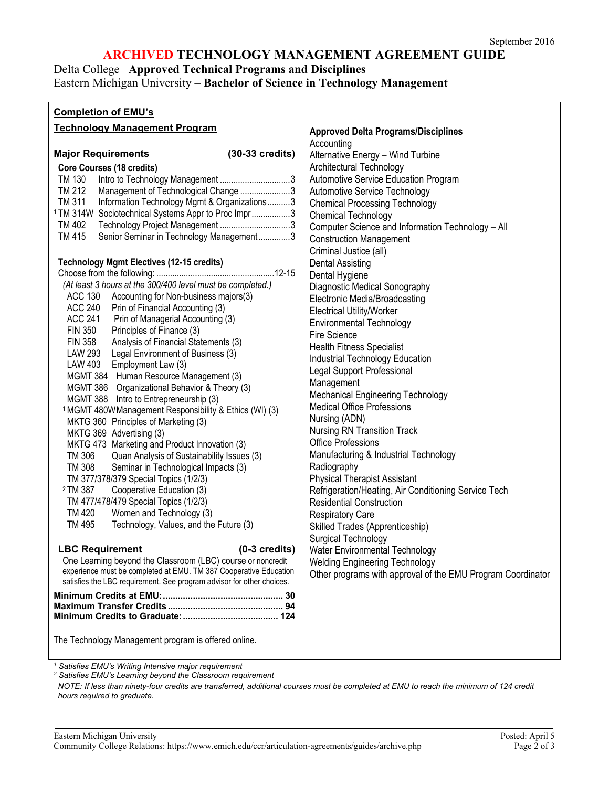### **ARCHIVED TECHNOLOGY MANAGEMENT AGREEMENT GUIDE**

# Delta College– **Approved Technical Programs and Disciplines**

# Eastern Michigan University – **Bachelor of Science in Technology Management**

| <b>Completion of EMU's</b>                                                                                                                 |                                                             |
|--------------------------------------------------------------------------------------------------------------------------------------------|-------------------------------------------------------------|
| <b>Technology Management Program</b>                                                                                                       | <b>Approved Delta Programs/Disciplines</b>                  |
|                                                                                                                                            | Accounting                                                  |
| <b>Major Requirements</b><br>$(30-33 \text{ credits})$                                                                                     | Alternative Energy - Wind Turbine                           |
| Core Courses (18 credits)                                                                                                                  | Architectural Technology                                    |
| TM 130                                                                                                                                     | Automotive Service Education Program                        |
| TM 212<br>Management of Technological Change 3                                                                                             | Automotive Service Technology                               |
| TM 311<br>Information Technology Mgmt & Organizations3                                                                                     | <b>Chemical Processing Technology</b>                       |
| <sup>1</sup> TM 314W Sociotechnical Systems Appr to Proc Impr3                                                                             | Chemical Technology                                         |
| TM 402<br>Technology Project Management 3                                                                                                  | Computer Science and Information Technology - All           |
| TM 415<br>Senior Seminar in Technology Management3                                                                                         | <b>Construction Management</b>                              |
|                                                                                                                                            | Criminal Justice (all)                                      |
| <b>Technology Mgmt Electives (12-15 credits)</b>                                                                                           | <b>Dental Assisting</b>                                     |
|                                                                                                                                            | Dental Hygiene                                              |
| (At least 3 hours at the 300/400 level must be completed.)                                                                                 | Diagnostic Medical Sonography                               |
| ACC 130 Accounting for Non-business majors(3)                                                                                              | Electronic Media/Broadcasting                               |
| ACC 240 Prin of Financial Accounting (3)                                                                                                   | <b>Electrical Utility/Worker</b>                            |
| <b>ACC 241</b><br>Prin of Managerial Accounting (3)                                                                                        | <b>Environmental Technology</b>                             |
| <b>FIN 350</b><br>Principles of Finance (3)                                                                                                | Fire Science                                                |
| Analysis of Financial Statements (3)<br><b>FIN 358</b><br>LAW 293 Legal Environment of Business (3)                                        | <b>Health Fitness Specialist</b>                            |
| LAW 403 Employment Law (3)                                                                                                                 | Industrial Technology Education                             |
| MGMT 384 Human Resource Management (3)                                                                                                     | <b>Legal Support Professional</b>                           |
| MGMT 386 Organizational Behavior & Theory (3)                                                                                              | Management                                                  |
| MGMT 388 Intro to Entrepreneurship (3)                                                                                                     | <b>Mechanical Engineering Technology</b>                    |
| <sup>1</sup> MGMT 480W Management Responsibility & Ethics (WI) (3)                                                                         | <b>Medical Office Professions</b>                           |
| MKTG 360 Principles of Marketing (3)                                                                                                       | Nursing (ADN)                                               |
| MKTG 369 Advertising (3)                                                                                                                   | Nursing RN Transition Track                                 |
| MKTG 473 Marketing and Product Innovation (3)                                                                                              | <b>Office Professions</b>                                   |
| TM 306<br>Quan Analysis of Sustainability Issues (3)                                                                                       | Manufacturing & Industrial Technology                       |
| TM 308<br>Seminar in Technological Impacts (3)                                                                                             | Radiography                                                 |
| TM 377/378/379 Special Topics (1/2/3)                                                                                                      | <b>Physical Therapist Assistant</b>                         |
| <sup>2</sup> TM 387<br>Cooperative Education (3)                                                                                           | Refrigeration/Heating, Air Conditioning Service Tech        |
| TM 477/478/479 Special Topics (1/2/3)                                                                                                      | <b>Residential Construction</b>                             |
| TM 420<br>Women and Technology (3)                                                                                                         | <b>Respiratory Care</b>                                     |
| <b>TM 495</b><br>Technology, Values, and the Future (3)                                                                                    | Skilled Trades (Apprenticeship)                             |
|                                                                                                                                            | Surgical Technology                                         |
| $(0-3$ credits)<br><b>LBC Requirement</b>                                                                                                  | Water Environmental Technology                              |
| One Learning beyond the Classroom (LBC) course or noncredit                                                                                | <b>Welding Engineering Technology</b>                       |
| experience must be completed at EMU. TM 387 Cooperative Education<br>satisfies the LBC requirement. See program advisor for other choices. | Other programs with approval of the EMU Program Coordinator |
|                                                                                                                                            |                                                             |
|                                                                                                                                            |                                                             |
|                                                                                                                                            |                                                             |
|                                                                                                                                            |                                                             |
| The Technology Management program is offered online.                                                                                       |                                                             |
|                                                                                                                                            |                                                             |

*<sup>1</sup> Satisfies EMU's Writing Intensive major requirement*

*<sup>2</sup> Satisfies EMU's Learning beyond the Classroom requirement*

*NOTE: If less than ninety-four credits are transferred, additional courses must be completed at EMU to reach the minimum of 124 credit hours required to graduate.*